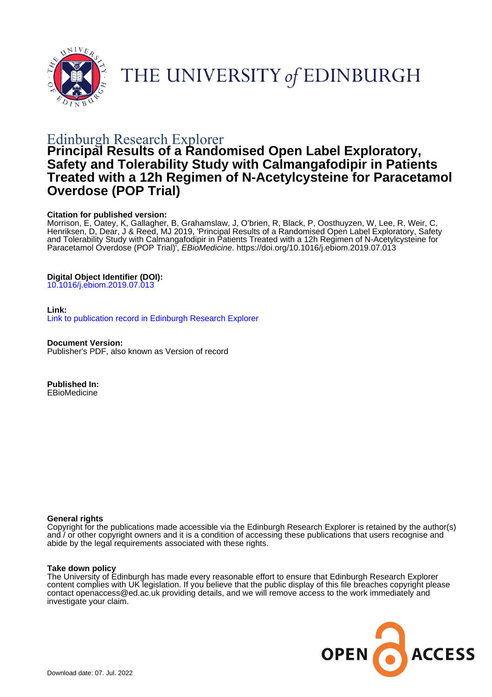

THE UNIVERSITY of EDINBURGH

# Edinburgh Research Explorer

# **Principal Results of a Randomised Open Label Exploratory, Safety and Tolerability Study with Calmangafodipir in Patients Treated with a 12h Regimen of N-Acetylcysteine for Paracetamol Overdose (POP Trial)**

## **Citation for published version:**

Morrison, E, Oatey, K, Gallagher, B, Grahamslaw, J, O'brien, R, Black, P, Oosthuyzen, W, Lee, R, Weir, C, Henriksen, D, Dear, J & Reed, MJ 2019, 'Principal Results of a Randomised Open Label Exploratory, Safety and Tolerability Study with Calmangafodipir in Patients Treated with a 12h Regimen of N-Acetylcysteine for Paracetamol Overdose (POP Trial), EBioMedicine.<https://doi.org/10.1016/j.ebiom.2019.07.013>

# **Digital Object Identifier (DOI):**

[10.1016/j.ebiom.2019.07.013](https://doi.org/10.1016/j.ebiom.2019.07.013)

### **Link:**

[Link to publication record in Edinburgh Research Explorer](https://www.research.ed.ac.uk/en/publications/6bbd7db3-4e96-4bd7-8f7b-b60b68cda16d)

**Document Version:** Publisher's PDF, also known as Version of record

**Published In: EBioMedicine** 

### **General rights**

Copyright for the publications made accessible via the Edinburgh Research Explorer is retained by the author(s) and / or other copyright owners and it is a condition of accessing these publications that users recognise and abide by the legal requirements associated with these rights.

### **Take down policy**

The University of Edinburgh has made every reasonable effort to ensure that Edinburgh Research Explorer content complies with UK legislation. If you believe that the public display of this file breaches copyright please contact openaccess@ed.ac.uk providing details, and we will remove access to the work immediately and investigate your claim.

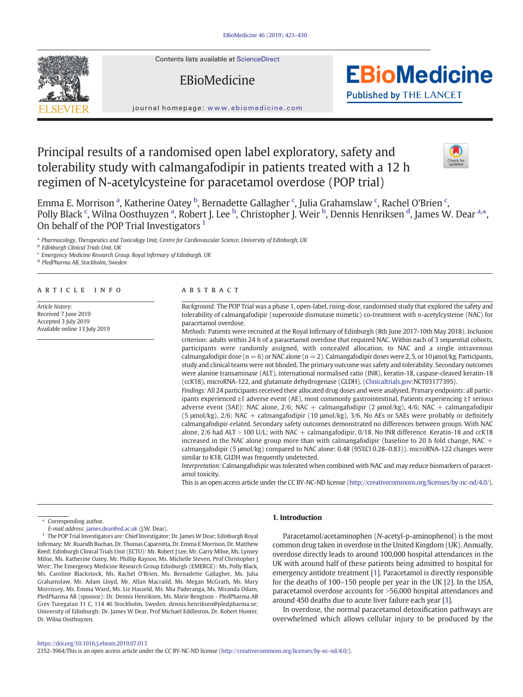Contents lists available at [ScienceDirect](http://www.sciencedirect.com/science/journal/)

# EBioMedicine



journal homepage: <www.ebiomedicine.com>

# Principal results of a randomised open label exploratory, safety and tolerability study with calmangafodipir in patients treated with a 12 h regimen of N-acetylcysteine for paracetamol overdose (POP trial)



**EBioMedicine** 

**Published by THE LANCET** 

Emma E. Morrison <sup>a</sup>, Katherine Oatey <sup>b</sup>, Bernadette Gallagher <sup>c</sup>, Julia Grahamslaw <sup>c</sup>, Rachel O'Brien <sup>c</sup>, Polly Black <sup>c</sup>, Wilna Oosthuyzen <sup>a</sup>, Robert J. Lee <sup>b</sup>, Christopher J. Weir <sup>b</sup>, Dennis Henriksen <sup>d</sup>, James W. Dear <sup>a,</sup>\*, On behalf of the POP Trial Investigators<sup>1</sup>

a Pharmacology, Therapeutics and Toxicology Unit, Centre for Cardiovascular Science, University of Edinburgh, UK

<sup>b</sup> Edinburgh Clinical Trials Unit, UK

<sup>c</sup> Emergency Medicine Research Group, Royal Infirmary of Edinburgh, UK

<sup>d</sup> PledPharma AB, Stockholm, Sweden

#### article info abstract

Article history: Received 7 June 2019 Accepted 3 July 2019 Available online 13 July 2019

Background: The POP Trial was a phase 1, open-label, rising-dose, randomised study that explored the safety and tolerability of calmangafodipir (superoxide dismutase mimetic) co-treatment with n-acetylcysteine (NAC) for paracetamol overdose.

Methods: Patients were recruited at the Royal Infirmary of Edinburgh (8th June 2017-10th May 2018). Inclusion criterion: adults within 24 h of a paracetamol overdose that required NAC. Within each of 3 sequential cohorts, participants were randomly assigned, with concealed allocation, to NAC and a single intravenous calmangafodipir dose (n = 6) or NAC alone (n = 2). Calmangafodipir doses were 2, 5, or 10 μmol/kg. Participants, study and clinical teams were not blinded. The primary outcome was safety and tolerability. Secondary outcomes were alanine transaminase (ALT), international normalised ratio (INR), keratin-18, caspase-cleaved keratin-18 (ccK18), microRNA-122, and glutamate dehydrogenase (GLDH). [\(Clinicaltrials.gov:](http://Clinicaltrials.gov)NCT03177395).

Findings: All 24 participants received their allocated drug doses and were analysed. Primary endpoints: all participants experienced ≥1 adverse event (AE), most commonly gastrointestinal. Patients experiencing ≥1 serious adverse event (SAE): NAC alone,  $2/6$ ; NAC + calmangafodipir (2  $\mu$ mol/kg),  $4/6$ ; NAC + calmangafodipir (5 μmol/kg), 2/6; NAC + calmangafodipir (10 μmol/kg), 3/6. No AEs or SAEs were probably or definitely calmangafodipir-related. Secondary safety outcomes demonstrated no differences between groups. With NAC alone,  $2/6$  had ALT  $> 100$  U/L; with NAC + calmangafodipir, 0/18. No INR difference. Keratin-18 and ccK18 increased in the NAC alone group more than with calmangafodipir (baseline to 20 h fold change, NAC  $+$ calmangafodipir (5 μmol/kg) compared to NAC alone: 0.48 (95%CI 0.28–0.83)). microRNA-122 changes were similar to K18, GLDH was frequently undetected.

Interpretation: Calmangafodipir was tolerated when combined with NAC and may reduce biomarkers of paracetamol toxicity.

This is an open access article under the CC BY-NC-ND license [\(http://creativecommons.org/licenses/by-nc-nd/4.0/\)](http://creativecommons.org/licenses/by-nc-nd/4.0/).

Corresponding author.

E-mail address: <james.dear@ed.ac.uk> (J.W. Dear).

<sup>1</sup> The POP Trial Investigators are: Chief Investigator: Dr. James W Dear; Edinburgh Royal Infirmary: Mr. Ruaridh Buchan, Dr. Thomas Caparrotta, Dr. Emma E Morrison, Dr. Matthew Reed; Edinburgh Clinical Trials Unit (ECTU): Mr. Robert J Lee, Mr. Garry Milne, Ms. Lynsey Milne, Ms. Katherine Oatey, Mr. Phillip Rayson, Ms. Michelle Steven, Prof Christopher J Weir; The Emergency Medicine Research Group Edinburgh (EMERGE): Ms. Polly Black, Ms. Caroline Blackstock, Ms. Rachel O'Brien, Ms. Bernadette Gallagher, Ms. Julia Grahamslaw, Mr. Adam Lloyd, Mr. Allan Macraild, Ms. Megan McGrath, Ms. Mary Morrissey, Ms. Emma Ward, Ms. Liz Hasseld, Ms. Mia Paderanga, Ms. Miranda Odam, PledPharma AB (sponsor): Dr. Dennis Henriksen, Ms. Marie Bengtson - PledPharma AB Grev Turegatan 11 C, 114 46 Stockholm, Sweden. dennis.henriksen@pledpharma.se; University of Edinburgh: Dr. James W Dear, Prof Michael Eddleston, Dr. Robert Hunter, Dr. Wilna Oosthuyzen.

#### 1. Introduction

Paracetamol/acetaminophen (N-acetyl-p-aminophenol) is the most common drug taken in overdose in the United Kingdom (UK). Annually, overdose directly leads to around 100,000 hospital attendances in the UK with around half of these patients being admitted to hospital for emergency antidote treatment [\[1\]](#page-8-0). Paracetamol is directly responsible for the deaths of 100–150 people per year in the UK [[2](#page-8-0)]. In the USA, paracetamol overdose accounts for >56,000 hospital attendances and around 450 deaths due to acute liver failure each year [[3](#page-8-0)].

In overdose, the normal paracetamol detoxification pathways are overwhelmed which allows cellular injury to be produced by the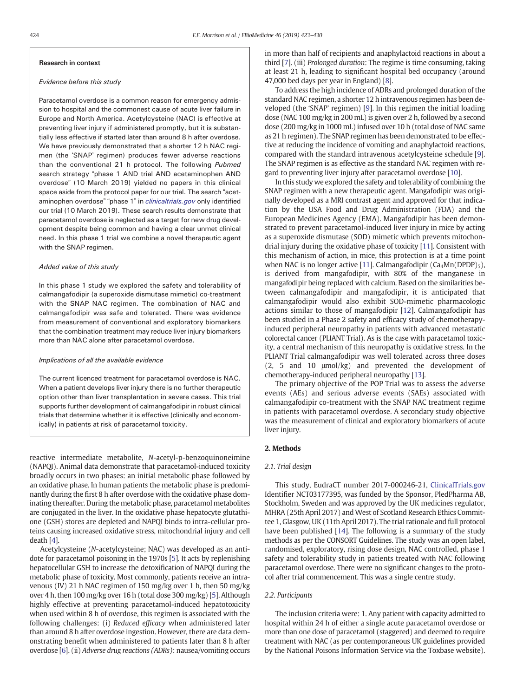#### Research in context

#### Evidence before this study

Paracetamol overdose is a common reason for emergency admission to hospital and the commonest cause of acute liver failure in Europe and North America. Acetylcysteine (NAC) is effective at preventing liver injury if administered promptly, but it is substantially less effective if started later than around 8 h after overdose. We have previously demonstrated that a shorter 12 h NAC regimen (the 'SNAP' regimen) produces fewer adverse reactions than the conventional 21 h protocol. The following Pubmed search strategy "phase 1 AND trial AND acetaminophen AND overdose" (10 March 2019) yielded no papers in this clinical space aside from the protocol paper for our trial. The search "acetaminophen overdose" "phase 1" in [clinicaltrials.gov](http://clinicaltrials.gov) only identified our trial (10 March 2019). These search results demonstrate that paracetamol overdose is neglected as a target for new drug development despite being common and having a clear unmet clinical need. In this phase 1 trial we combine a novel therapeutic agent with the SNAP regimen.

#### Added value of this study

In this phase 1 study we explored the safety and tolerability of calmangafodipir (a superoxide dismutase mimetic) co-treatment with the SNAP NAC regimen. The combination of NAC and calmangafodipir was safe and tolerated. There was evidence from measurement of conventional and exploratory biomarkers that the combination treatment may reduce liver injury biomarkers more than NAC alone after paracetamol overdose.

#### Implications of all the available evidence

The current licenced treatment for paracetamol overdose is NAC. When a patient develops liver injury there is no further therapeutic option other than liver transplantation in severe cases. This trial supports further development of calmangafodipir in robust clinical trials that determine whether it is effective (clinically and economically) in patients at risk of paracetamol toxicity.

reactive intermediate metabolite, N-acetyl-p-benzoquinoneimine (NAPQI). Animal data demonstrate that paracetamol-induced toxicity broadly occurs in two phases: an initial metabolic phase followed by an oxidative phase. In human patients the metabolic phase is predominantly during the first 8 h after overdose with the oxidative phase dominating thereafter. During the metabolic phase, paracetamol metabolites are conjugated in the liver. In the oxidative phase hepatocyte glutathione (GSH) stores are depleted and NAPQI binds to intra-cellular proteins causing increased oxidative stress, mitochondrial injury and cell death [[4](#page-8-0)].

Acetylcysteine (N-acetylcysteine; NAC) was developed as an antidote for paracetamol poisoning in the 1970s [[5](#page-8-0)]. It acts by replenishing hepatocellular GSH to increase the detoxification of NAPQI during the metabolic phase of toxicity. Most commonly, patients receive an intravenous (IV) 21 h NAC regimen of 150 mg/kg over 1 h, then 50 mg/kg over 4 h, then 100 mg/kg over 16 h (total dose 300 mg/kg) [\[5\]](#page-8-0). Although highly effective at preventing paracetamol-induced hepatotoxicity when used within 8 h of overdose, this regimen is associated with the following challenges: (i) Reduced efficacy when administered later than around 8 h after overdose ingestion. However, there are data demonstrating benefit when administered to patients later than 8 h after overdose [\[6\]](#page-8-0). (ii) Adverse drug reactions (ADRs): nausea/vomiting occurs in more than half of recipients and anaphylactoid reactions in about a third [[7](#page-8-0)]. (iii) Prolonged duration: The regime is time consuming, taking at least 21 h, leading to significant hospital bed occupancy (around 47,000 bed days per year in England) [\[8](#page-8-0)].

To address the high incidence of ADRs and prolonged duration of the standard NAC regimen, a shorter 12 h intravenous regimen has been developed (the 'SNAP' regimen) [[9](#page-8-0)]. In this regimen the initial loading dose (NAC 100 mg/kg in 200 mL) is given over 2 h, followed by a second dose (200 mg/kg in 1000 mL) infused over 10 h (total dose of NAC same as 21 h regimen). The SNAP regimen has been demonstrated to be effective at reducing the incidence of vomiting and anaphylactoid reactions, compared with the standard intravenous acetylcysteine schedule [[9](#page-8-0)]. The SNAP regimen is as effective as the standard NAC regimen with regard to preventing liver injury after paracetamol overdose [[10\]](#page-8-0).

In this study we explored the safety and tolerability of combining the SNAP regimen with a new therapeutic agent. Mangafodipir was originally developed as a MRI contrast agent and approved for that indication by the USA Food and Drug Administration (FDA) and the European Medicines Agency (EMA). Mangafodipir has been demonstrated to prevent paracetamol-induced liver injury in mice by acting as a superoxide dismutase (SOD) mimetic which prevents mitochondrial injury during the oxidative phase of toxicity [\[11](#page-8-0)]. Consistent with this mechanism of action, in mice, this protection is at a time point when NAC is no longer active [\[11\]](#page-8-0). Calmangafodipir  $(Ca<sub>4</sub>Mn(DPDP)<sub>5</sub>)$ , is derived from mangafodipir, with 80% of the manganese in mangafodipir being replaced with calcium. Based on the similarities between calmangafodipir and mangafodipir, it is anticipated that calmangafodipir would also exhibit SOD-mimetic pharmacologic actions similar to those of mangafodipir [\[12](#page-8-0)]. Calmangafodipir has been studied in a Phase 2 safety and efficacy study of chemotherapyinduced peripheral neuropathy in patients with advanced metastatic colorectal cancer (PLIANT Trial). As is the case with paracetamol toxicity, a central mechanism of this neuropathy is oxidative stress. In the PLIANT Trial calmangafodipir was well tolerated across three doses (2, 5 and 10 μmol/kg) and prevented the development of chemotherapy-induced peripheral neuropathy [[13\]](#page-8-0).

The primary objective of the POP Trial was to assess the adverse events (AEs) and serious adverse events (SAEs) associated with calmangafodipir co-treatment with the SNAP NAC treatment regime in patients with paracetamol overdose. A secondary study objective was the measurement of clinical and exploratory biomarkers of acute liver injury.

#### 2. Methods

#### 2.1. Trial design

This study, EudraCT number 2017-000246-21, [ClinicalTrials.gov](http://ClinicalTrials.gov) Identifier NCT03177395, was funded by the Sponsor, PledPharma AB, Stockholm, Sweden and was approved by the UK medicines regulator, MHRA (25th April 2017) and West of Scotland Research Ethics Committee 1, Glasgow, UK (11th April 2017). The trial rationale and full protocol have been published [\[14\]](#page-8-0). The following is a summary of the study methods as per the CONSORT Guidelines. The study was an open label, randomised, exploratory, rising dose design, NAC controlled, phase 1 safety and tolerability study in patients treated with NAC following paracetamol overdose. There were no significant changes to the protocol after trial commencement. This was a single centre study.

#### 2.2. Participants

The inclusion criteria were: 1. Any patient with capacity admitted to hospital within 24 h of either a single acute paracetamol overdose or more than one dose of paracetamol (staggered) and deemed to require treatment with NAC (as per contemporaneous UK guidelines provided by the National Poisons Information Service via the Toxbase website).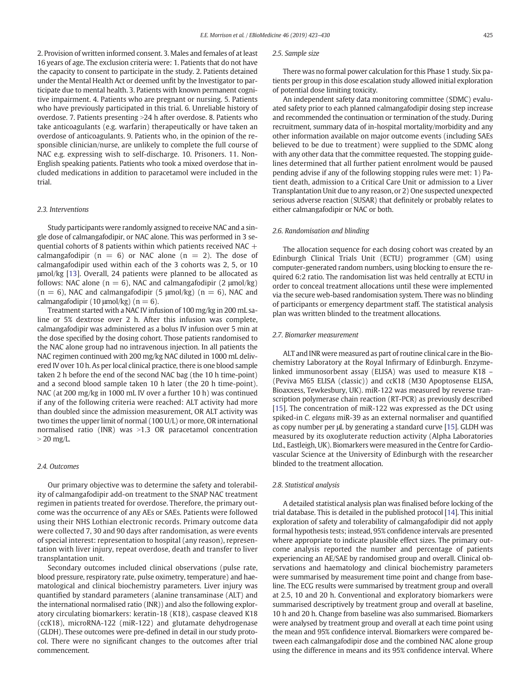2. Provision of written informed consent. 3. Males and females of at least 16 years of age. The exclusion criteria were: 1. Patients that do not have the capacity to consent to participate in the study. 2. Patients detained under the Mental Health Act or deemed unfit by the Investigator to participate due to mental health. 3. Patients with known permanent cognitive impairment. 4. Patients who are pregnant or nursing. 5. Patients who have previously participated in this trial. 6. Unreliable history of overdose. 7. Patients presenting >24 h after overdose. 8. Patients who take anticoagulants (e.g. warfarin) therapeutically or have taken an overdose of anticoagulants. 9. Patients who, in the opinion of the responsible clinician/nurse, are unlikely to complete the full course of NAC e.g. expressing wish to self-discharge. 10. Prisoners. 11. Non-English speaking patients. Patients who took a mixed overdose that included medications in addition to paracetamol were included in the trial.

#### 2.3. Interventions

Study participants were randomly assigned to receive NAC and a single dose of calmangafodipir, or NAC alone. This was performed in 3 sequential cohorts of 8 patients within which patients received NAC  $+$ calmangafodipir ( $n = 6$ ) or NAC alone ( $n = 2$ ). The dose of calmangafodipir used within each of the 3 cohorts was 2, 5, or 10 μmol/kg [[13\]](#page-8-0). Overall, 24 patients were planned to be allocated as follows: NAC alone ( $n = 6$ ), NAC and calmangafodipir (2  $\mu$ mol/kg)  $(n = 6)$ , NAC and calmangafodipir  $(5 \text{ \mu} \text{mol/kg})$   $(n = 6)$ , NAC and calmangafodipir (10  $\mu$ mol/kg) (n = 6).

Treatment started with a NAC IV infusion of 100 mg/kg in 200 mL saline or 5% dextrose over 2 h. After this infusion was complete, calmangafodipir was administered as a bolus IV infusion over 5 min at the dose specified by the dosing cohort. Those patients randomised to the NAC alone group had no intravenous injection. In all patients the NAC regimen continued with 200 mg/kg NAC diluted in 1000 mL delivered IV over 10 h. As per local clinical practice, there is one blood sample taken 2 h before the end of the second NAC bag (the 10 h time-point) and a second blood sample taken 10 h later (the 20 h time-point). NAC (at 200 mg/kg in 1000 mL IV over a further 10 h) was continued if any of the following criteria were reached: ALT activity had more than doubled since the admission measurement, OR ALT activity was two times the upper limit of normal (100 U/L) or more, OR international normalised ratio (INR) was  $>1.3$  OR paracetamol concentration  $>$  20 mg/L.

#### 2.4. Outcomes

Our primary objective was to determine the safety and tolerability of calmangafodipir add-on treatment to the SNAP NAC treatment regimen in patients treated for overdose. Therefore, the primary outcome was the occurrence of any AEs or SAEs. Patients were followed using their NHS Lothian electronic records. Primary outcome data were collected 7, 30 and 90 days after randomisation, as were events of special interest: representation to hospital (any reason), representation with liver injury, repeat overdose, death and transfer to liver transplantation unit.

Secondary outcomes included clinical observations (pulse rate, blood pressure, respiratory rate, pulse oximetry, temperature) and haematological and clinical biochemistry parameters. Liver injury was quantified by standard parameters (alanine transaminase (ALT) and the international normalised ratio (INR)) and also the following exploratory circulating biomarkers: keratin-18 (K18), caspase cleaved K18 (ccK18), microRNA-122 (miR-122) and glutamate dehydrogenase (GLDH). These outcomes were pre-defined in detail in our study protocol. There were no significant changes to the outcomes after trial commencement.

#### 2.5. Sample size

There was no formal power calculation for this Phase 1 study. Six patients per group in this dose escalation study allowed initial exploration of potential dose limiting toxicity.

An independent safety data monitoring committee (SDMC) evaluated safety prior to each planned calmangafodipir dosing step increase and recommended the continuation or termination of the study. During recruitment, summary data of in-hospital mortality/morbidity and any other information available on major outcome events (including SAEs believed to be due to treatment) were supplied to the SDMC along with any other data that the committee requested. The stopping guidelines determined that all further patient enrolment would be paused pending advise if any of the following stopping rules were met: 1) Patient death, admission to a Critical Care Unit or admission to a Liver Transplantation Unit due to any reason, or 2) One suspected unexpected serious adverse reaction (SUSAR) that definitely or probably relates to either calmangafodipir or NAC or both.

#### 2.6. Randomisation and blinding

The allocation sequence for each dosing cohort was created by an Edinburgh Clinical Trials Unit (ECTU) programmer (GM) using computer-generated random numbers, using blocking to ensure the required 6:2 ratio. The randomisation list was held centrally at ECTU in order to conceal treatment allocations until these were implemented via the secure web-based randomisation system. There was no blinding of participants or emergency department staff. The statistical analysis plan was written blinded to the treatment allocations.

#### 2.7. Biomarker measurement

ALT and INR were measured as part of routine clinical care in the Biochemistry Laboratory at the Royal Infirmary of Edinburgh. Enzymelinked immunosorbent assay (ELISA) was used to measure K18 – (Peviva M65 ELISA (classic)) and ccK18 (M30 Apoptosense ELISA, Bioaxxess, Tewkesbury, UK). miR-122 was measured by reverse transcription polymerase chain reaction (RT-PCR) as previously described [\[15\]](#page-8-0). The concentration of miR-122 was expressed as the DCt using spiked-in C. elegans miR-39 as an external normaliser and quantified as copy number per μL by generating a standard curve [\[15\]](#page-8-0). GLDH was measured by its oxogluterate reduction activity (Alpha Laboratories Ltd., Eastleigh, UK). Biomarkers were measured in the Centre for Cardiovascular Science at the University of Edinburgh with the researcher blinded to the treatment allocation.

#### 2.8. Statistical analysis

A detailed statistical analysis plan was finalised before locking of the trial database. This is detailed in the published protocol [\[14](#page-8-0)]. This initial exploration of safety and tolerability of calmangafodipir did not apply formal hypothesis tests; instead, 95% confidence intervals are presented where appropriate to indicate plausible effect sizes. The primary outcome analysis reported the number and percentage of patients experiencing an AE/SAE by randomised group and overall. Clinical observations and haematology and clinical biochemistry parameters were summarised by measurement time point and change from baseline. The ECG results were summarised by treatment group and overall at 2.5, 10 and 20 h. Conventional and exploratory biomarkers were summarised descriptively by treatment group and overall at baseline, 10 h and 20 h. Change from baseline was also summarised. Biomarkers were analysed by treatment group and overall at each time point using the mean and 95% confidence interval. Biomarkers were compared between each calmangafodipir dose and the combined NAC alone group using the difference in means and its 95% confidence interval. Where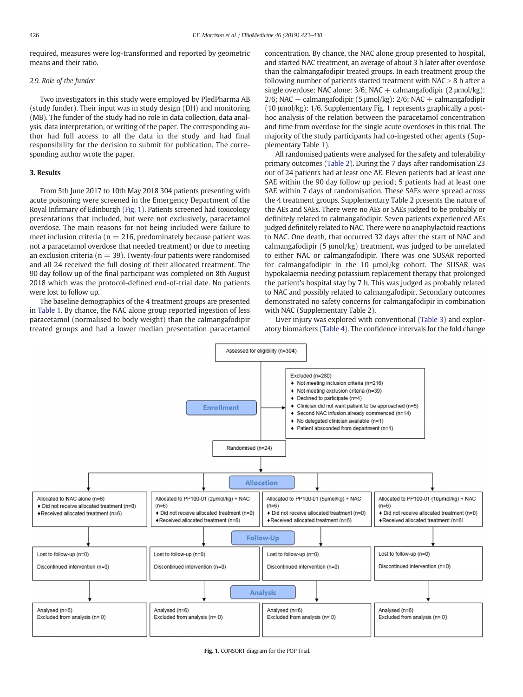required, measures were log-transformed and reported by geometric means and their ratio.

#### 2.9. Role of the funder

Two investigators in this study were employed by PledPharma AB (study funder). Their input was in study design (DH) and monitoring (MB). The funder of the study had no role in data collection, data analysis, data interpretation, or writing of the paper. The corresponding author had full access to all the data in the study and had final responsibility for the decision to submit for publication. The corresponding author wrote the paper.

### 3. Results

From 5th June 2017 to 10th May 2018 304 patients presenting with acute poisoning were screened in the Emergency Department of the Royal Infirmary of Edinburgh (Fig. 1). Patients screened had toxicology presentations that included, but were not exclusively, paracetamol overdose. The main reasons for not being included were failure to meet inclusion criteria ( $n = 216$ , predominately because patient was not a paracetamol overdose that needed treatment) or due to meeting an exclusion criteria ( $n = 39$ ). Twenty-four patients were randomised and all 24 received the full dosing of their allocated treatment. The 90 day follow up of the final participant was completed on 8th August 2018 which was the protocol-defined end-of-trial date. No patients were lost to follow up.

The baseline demographics of the 4 treatment groups are presented in [Table 1](#page-5-0). By chance, the NAC alone group reported ingestion of less paracetamol (normalised to body weight) than the calmangafodipir treated groups and had a lower median presentation paracetamol concentration. By chance, the NAC alone group presented to hospital, and started NAC treatment, an average of about 3 h later after overdose than the calmangafodipir treated groups. In each treatment group the following number of patients started treatment with  $NAC > 8$  h after a single overdose: NAC alone:  $3/6$ ; NAC + calmangafodipir (2  $\mu$ mol/kg):  $2/6$ ; NAC + calmangafodipir (5 µmol/kg):  $2/6$ ; NAC + calmangafodipir (10 μmol/kg): 1/6. Supplementary Fig. 1 represents graphically a posthoc analysis of the relation between the paracetamol concentration and time from overdose for the single acute overdoses in this trial. The majority of the study participants had co-ingested other agents (Supplementary Table 1).

All randomised patients were analysed for the safety and tolerability primary outcomes ([Table 2](#page-5-0)). During the 7 days after randomisation 23 out of 24 patients had at least one AE. Eleven patients had at least one SAE within the 90 day follow up period; 5 patients had at least one SAE within 7 days of randomisation. These SAEs were spread across the 4 treatment groups. Supplementary Table 2 presents the nature of the AEs and SAEs. There were no AEs or SAEs judged to be probably or definitely related to calmangafodipir. Seven patients experienced AEs judged definitely related to NAC. There were no anaphylactoid reactions to NAC. One death, that occurred 32 days after the start of NAC and calmangafodipir (5 μmol/kg) treatment, was judged to be unrelated to either NAC or calmangafodipir. There was one SUSAR reported for calmangafodipir in the 10 μmol/kg cohort. The SUSAR was hypokalaemia needing potassium replacement therapy that prolonged the patient's hospital stay by 7 h. This was judged as probably related to NAC and possibly related to calmangafodipir. Secondary outcomes demonstrated no safety concerns for calmangafodipir in combination with NAC (Supplementary Table 2).

Liver injury was explored with conventional [\(Table 3](#page-6-0)) and exploratory biomarkers [\(Table 4\)](#page-7-0). The confidence intervals for the fold change

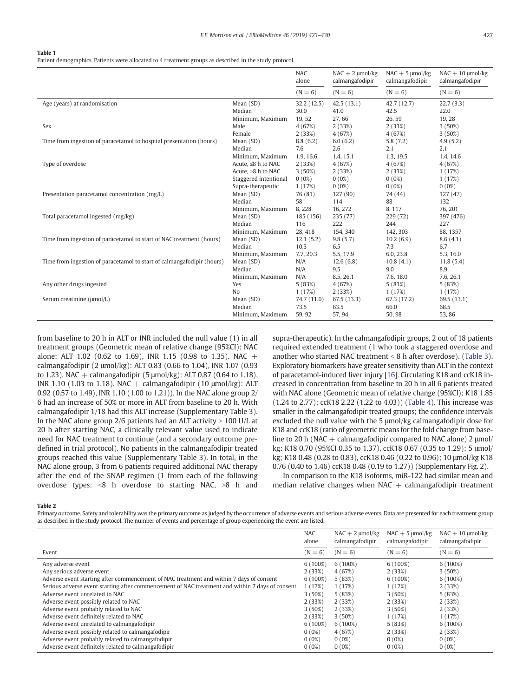#### <span id="page-5-0"></span>Table 1

Patient demographics. Patients were allocated to 4 treatment groups as described in the study protocol.

|                                                                        |                       | <b>NAC</b><br>alone | $NAC + 2$ µmol/kg<br>calmangafodipir | $NAC + 5$ µmol/kg<br>calmangafodipir | $NAC + 10$ µmol/kg<br>calmangafodipir |
|------------------------------------------------------------------------|-----------------------|---------------------|--------------------------------------|--------------------------------------|---------------------------------------|
|                                                                        |                       | $(N = 6)$           | $(N = 6)$                            | $(N = 6)$                            | $(N = 6)$                             |
| Age (years) at randomisation                                           | Mean (SD)             | 32.2 (12.5)         | 42.5(13.1)                           | 42.7 (12.7)                          | 22.7(3.3)                             |
|                                                                        | Median                | 30.0                | 41.0                                 | 42.5                                 | 22.0                                  |
|                                                                        | Minimum, Maximum      | 19,52               | 27,66                                | 26,59                                | 19,28                                 |
| Sex                                                                    | Male                  | 4(67%)              | 2(33%)                               | 2(33%)                               | 3(50%)                                |
|                                                                        | Female                | 2(33%)              | 4 (67%)                              | 4(67%)                               | 3(50%)                                |
| Time from ingestion of paracetamol to hospital presentation (hours)    | Mean (SD)             | 8.8(6.2)            | 6.0(6.2)                             | 5.8(7.2)                             | 4.9(5.2)                              |
|                                                                        | Median                | 7.6                 | 2.6                                  | 2.1                                  | 2.1                                   |
|                                                                        | Minimum, Maximum      | 1.9, 16.6           | 1.4, 15.1                            | 1.3, 19.5                            | 1.4, 14.6                             |
| Type of overdose                                                       | Acute, ≤8 h to NAC    | 2(33%)              | 4 (67%)                              | 4(67%)                               | 4 (67%)                               |
|                                                                        | Acute, >8 h to NAC    | 3(50%)              | 2(33%)                               | 2(33%)                               | 1(17%)                                |
|                                                                        | Staggered intentional | 0(0%)               | $0(0\%)$                             | $0(0\%)$                             | 1(17%)                                |
|                                                                        | Supra-therapeutic     | 1(17%)              | 0(0%)                                | $0(0\%)$                             | $0(0\%)$                              |
| Presentation paracetamol concentration (mg/L)                          | Mean (SD)             | 76 (81)             | 127(90)                              | 74 (44)                              | 127(47)                               |
|                                                                        | Median                | 58                  | 114                                  | 88                                   | 132                                   |
|                                                                        | Minimum, Maximum      | 8,228               | 16, 272                              | 8,117                                | 76, 201                               |
| Total paracetamol ingested (mg/kg)                                     | Mean (SD)             | 185 (156)           | 235 (77)                             | 229 (72)                             | 397 (476)                             |
|                                                                        | Median                | 116                 | 222                                  | 244                                  | 227                                   |
|                                                                        | Minimum, Maximum      | 28, 418             | 154, 340                             | 142, 303                             | 88.1357                               |
| Time from ingestion of paracetamol to start of NAC treatment (hours)   | Mean (SD)             | 12.1(5.2)           | 9.8(5.7)                             | 10.2(6.9)                            | 8.6(4.1)                              |
|                                                                        | Median                | 10.3                | 6.5                                  | 7.3                                  | 6.7                                   |
|                                                                        | Minimum, Maximum      | 7.7, 20.3           | 5.5, 17.9                            | 6.0, 23.8                            | 5.3, 16.0                             |
| Time from ingestion of paracetamol to start of calmangafodipir (hours) | Mean (SD)             | N/A                 | 12.6(6.8)                            | 10.8(4.1)                            | 11.8(5.4)                             |
|                                                                        | Median                | N/A                 | 9.5                                  | 9.0                                  | 8.9                                   |
|                                                                        | Minimum, Maximum      | N/A                 | 8.5, 26.1                            | 7.6, 18.0                            | 7.6, 26.1                             |
| Any other drugs ingested                                               | Yes                   | 5(83%)              | 4(67%)                               | 5(83%)                               | 5(83%)                                |
|                                                                        | No                    | 1(17%)              | 2(33%)                               | 1(17%)                               | 1(17%)                                |
| Serum creatinine (µmol/L)                                              | Mean (SD)             | 74.7 (11.0)         | 67.5(13.3)                           | 67.3 (17.2)                          | 69.5 (13.1)                           |
|                                                                        | Median                | 73.5                | 63.5                                 | 66.0                                 | 68.5                                  |
|                                                                        | Minimum, Maximum      | 59, 92              | 57, 94                               | 50,98                                | 53,86                                 |

from baseline to 20 h in ALT or INR included the null value (1) in all treatment groups (Geometric mean of relative change (95%CI): NAC alone: ALT 1.02 (0.62 to 1.69), INR 1.15 (0.98 to 1.35). NAC + calmangafodipir (2 μmol/kg): ALT 0.83 (0.66 to 1.04), INR 1.07 (0.93 to 1.23). NAC + calmangafodipir (5 μmol/kg): ALT 0.87 (0.64 to 1.18), INR 1.10 (1.03 to 1.18). NAC + calmangafodipir (10 μmol/kg): ALT 0.92 (0.57 to 1.49), INR 1.10 (1.00 to 1.21)). In the NAC alone group 2/ 6 had an increase of 50% or more in ALT from baseline to 20 h. With calmangafodipir 1/18 had this ALT increase (Supplementary Table 3). In the NAC alone group 2/6 patients had an ALT activity  $> 100$  U/L at 20 h after starting NAC, a clinically relevant value used to indicate need for NAC treatment to continue (and a secondary outcome predefined in trial protocol). No patients in the calmangafodipir treated groups reached this value (Supplementary Table 3). In total, in the NAC alone group, 3 from 6 patients required additional NAC therapy after the end of the SNAP regimen (1 from each of the following overdose types:  $8$  h overdose to starting NAC,  $>8$  h and

supra-therapeutic). In the calmangafodipir groups, 2 out of 18 patients required extended treatment (1 who took a staggered overdose and another who started NAC treatment  $< 8$  h after overdose). ([Table 3](#page-6-0)). Exploratory biomarkers have greater sensitivity than ALT in the context of paracetamol-induced liver injury [[16\]](#page-8-0). Circulating K18 and ccK18 increased in concentration from baseline to 20 h in all 6 patients treated with NAC alone (Geometric mean of relative change (95%CI): K18 1.85 (1.24 to 2.77); ccK18 2.22 (1.22 to 4.03)) ([Table 4\)](#page-7-0). This increase was smaller in the calmangafodipir treated groups; the confidence intervals excluded the null value with the 5 μmol/kg calmangafodipir dose for K18 and ccK18 (ratio of geometric means for the fold change from baseline to 20 h (NAC + calmangafodipir compared to NAC alone) 2  $\mu$ mol/ kg: K18 0.70 (95%CI 0.35 to 1.37), ccK18 0.67 (0.35 to 1.29); 5 μmol/ kg; K18 0.48 (0.28 to 0.83), ccK18 0.46 (0.22 to 0.96); 10 μmol/kg K18 0.76 (0.40 to 1.46) ccK18 0.48 (0.19 to 1.27)) (Supplementary Fig. 2).

In comparison to the K18 isoforms, miR-122 had similar mean and median relative changes when NAC  $+$  calmangafodipir treatment

#### Table 2

Primary outcome. Safety and tolerability was the primary outcome as judged by the occurrence of adverse events and serious adverse events. Data are presented for each treatment group as described in the study protocol. The number of events and percentage of group experiencing the event are listed.

|                                                                                                 | <b>NAC</b><br>alone | $NAC + 2$ µmol/kg<br>calmangafodipir | $NAC + 5$ µmol/kg<br>calmangafodipir | $NAC + 10$ µmol/kg<br>calmangafodipir |
|-------------------------------------------------------------------------------------------------|---------------------|--------------------------------------|--------------------------------------|---------------------------------------|
| Event                                                                                           | $(N = 6)$           | $(N = 6)$                            | $(N = 6)$                            | $(N = 6)$                             |
| Any adverse event                                                                               | $6(100\%)$          | $6(100\%)$                           | $6(100\%)$                           | $6(100\%)$                            |
| Any serious adverse event                                                                       | 2(33%)              | 4(67%)                               | 2(33%)                               | 3(50%)                                |
| Adverse event starting after commencement of NAC treatment and within 7 days of consent         | $6(100\%)$          | 5(83%)                               | $6(100\%)$                           | $6(100\%)$                            |
| Serious adverse event starting after commencement of NAC treatment and within 7 days of consent | 1(17%)              | 1(17%)                               | 1(17%)                               | 2(33%)                                |
| Adverse event unrelated to NAC                                                                  | 3(50%)              | 5(83%)                               | 3(50%)                               | 5(83%)                                |
| Adverse event possibly related to NAC                                                           | 2(33%)              | 2(33%)                               | 2(33%)                               | 2(33%)                                |
| Adverse event probably related to NAC                                                           | $3(50\%)$           | 2(33%)                               | 3(50%)                               | 2(33%)                                |
| Adverse event definitely related to NAC                                                         | 2(33%)              | 3(50%)                               | 1(17%)                               | 1(17%)                                |
| Adverse event unrelated to calmangafodipir                                                      | $6(100\%)$          | $6(100\%)$                           | 5(83%)                               | $6(100\%)$                            |
| Adverse event possibly related to calmangafodipir                                               | $0(0\%)$            | 4(67%)                               | 2(33%)                               | 2(33%)                                |
| Adverse event probably related to calmangafodipir                                               | $0(0\%)$            | 0(0%)                                | $0(0\%)$                             | $0(0\%)$                              |
| Adverse event definitely related to calmangafodipir                                             | $0(0\%)$            | 0(0%)                                | $0(0\%)$                             | $0(0\%)$                              |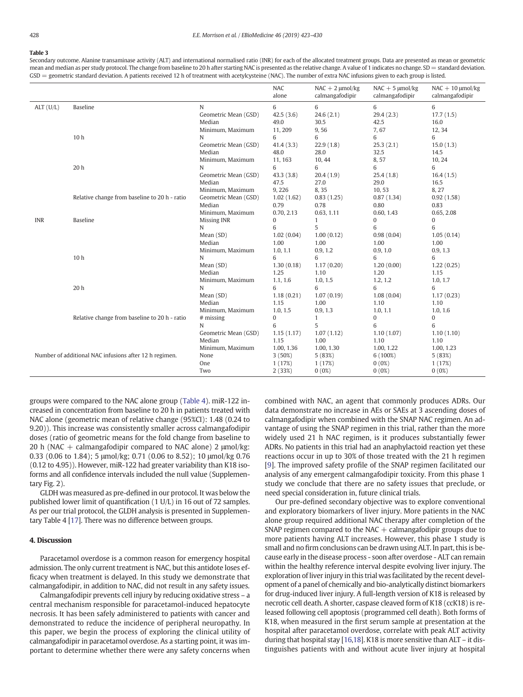#### <span id="page-6-0"></span>Table 3

Secondary outcome. Alanine transaminase activity (ALT) and international normalised ratio (INR) for each of the allocated treatment groups. Data are presented as mean or geometric mean and median as per study protocol. The change from baseline to 20 h after starting NAC is presented as the relative change. A value of 1 indicates no change. SD = standard deviation. GSD = geometric standard deviation. A patients received 12 h of treatment with acetylcysteine (NAC). The number of extra NAC infusions given to each group is listed.

|            |                                                        |                      | <b>NAC</b><br>alone | $NAC + 2 \mu mol/kg$<br>calmangafodipir | $NAC + 5 \mu mol/kg$<br>calmangafodipir | $NAC + 10$ µmol/kg<br>calmangafodipir |
|------------|--------------------------------------------------------|----------------------|---------------------|-----------------------------------------|-----------------------------------------|---------------------------------------|
| ALT (U/L)  | <b>Baseline</b>                                        | N                    | 6                   | 6                                       | 6                                       | 6                                     |
|            |                                                        | Geometric Mean (GSD) | 42.5(3.6)           | 24.6(2.1)                               | 29.4(2.3)                               | 17.7(1.5)                             |
|            |                                                        | Median               | 49.0                | 30.5                                    | 42.5                                    | 16.0                                  |
|            |                                                        | Minimum, Maximum     | 11,209              | 9,56                                    | 7,67                                    | 12,34                                 |
|            | 10 <sub>h</sub>                                        | N                    | 6                   | 6                                       | 6                                       | 6                                     |
|            |                                                        | Geometric Mean (GSD) | 41.4(3.3)           | 22.9(1.8)                               | 25.3(2.1)                               | 15.0(1.3)                             |
|            |                                                        | Median               | 48.0                | 28.0                                    | 32.5                                    | 14.5                                  |
|            |                                                        | Minimum, Maximum     | 11, 163             | 10, 44                                  | 8,57                                    | 10, 24                                |
|            | 20h                                                    | N                    | 6                   | 6                                       | 6                                       | 6                                     |
|            |                                                        | Geometric Mean (GSD) | 43.3(3.8)           | 20.4(1.9)                               | 25.4(1.8)                               | 16.4(1.5)                             |
|            |                                                        | Median               | 47.5                | 27.0                                    | 29.0                                    | 16.5                                  |
|            |                                                        | Minimum, Maximum     | 9,226               | 8,35                                    | 10,53                                   | 8,27                                  |
|            | Relative change from baseline to 20 h - ratio          | Geometric Mean (GSD) | 1.02(1.62)          | 0.83(1.25)                              | 0.87(1.34)                              | 0.92(1.58)                            |
|            |                                                        | Median               | 0.79                | 0.78                                    | 0.80                                    | 0.83                                  |
|            |                                                        | Minimum, Maximum     | 0.70, 2.13          | 0.63, 1.11                              | 0.60, 1.43                              | 0.65, 2.08                            |
| <b>INR</b> | <b>Baseline</b>                                        | Missing INR          | 0                   | $\mathbf{1}$                            | 0                                       | 0                                     |
|            |                                                        | N                    | 6                   | 5                                       | 6                                       | 6                                     |
|            |                                                        | Mean (SD)            | 1.02(0.04)          | 1.00(0.12)                              | 0.98(0.04)                              | 1.05(0.14)                            |
|            |                                                        | Median               | 1.00                | 1.00                                    | 1.00                                    | 1.00                                  |
|            |                                                        | Minimum, Maximum     | 1.0, 1.1            | 0.9, 1.2                                | 0.9, 1.0                                | 0.9, 1.3                              |
|            | 10 <sub>h</sub>                                        | N                    | 6                   | 6                                       | 6                                       | 6                                     |
|            |                                                        | Mean (SD)            | 1.30(0.18)          | 1.17(0.20)                              | 1.20(0.00)                              | 1.22(0.25)                            |
|            |                                                        | Median               | 1.25                | 1.10                                    | 1.20                                    | 1.15                                  |
|            |                                                        | Minimum, Maximum     | 1.1, 1.6            | 1.0, 1.5                                | 1.2, 1.2                                | 1.0, 1.7                              |
|            | 20h                                                    | N                    | 6                   | 6                                       | 6                                       | 6                                     |
|            |                                                        | Mean (SD)            | 1.18(0.21)          | 1.07(0.19)                              | 1.08(0.04)                              | 1.17(0.23)                            |
|            |                                                        | Median               | 1.15                | 1.00                                    | 1.10                                    | 1.10                                  |
|            |                                                        | Minimum, Maximum     | 1.0, 1.5            | 0.9, 1.3                                | 1.0, 1.1                                | 1.0, 1.6                              |
|            | Relative change from baseline to 20 h - ratio          | $#$ missing          | 0                   | $\mathbf{1}$                            | $\bf{0}$                                | $\boldsymbol{0}$                      |
|            |                                                        | N                    | 6                   | 5                                       | 6                                       | 6                                     |
|            |                                                        | Geometric Mean (GSD) | 1.15(1.17)          | 1.07(1.12)                              | 1.10(1.07)                              | 1.10(1.10)                            |
|            |                                                        | Median               | 1.15                | 1.00                                    | 1.10                                    | 1.10                                  |
|            |                                                        | Minimum, Maximum     | 1.00, 1.36          | 1.00, 1.30                              | 1.00, 1.22                              | 1.00, 1.23                            |
|            | Number of additional NAC infusions after 12 h regimen. | None                 | 3(50%)              | 5(83%)                                  | $6(100\%)$                              | 5(83%)                                |
|            |                                                        | One                  | 1(17%)              | 1(17%)                                  | $0(0\%)$                                | 1(17%)                                |
|            |                                                        | Two                  | 2(33%)              | $0(0\%)$                                | $0(0\%)$                                | 0(0%)                                 |

groups were compared to the NAC alone group [\(Table 4](#page-7-0)). miR-122 increased in concentration from baseline to 20 h in patients treated with NAC alone (geometric mean of relative change (95%CI): 1.48 (0.24 to 9.20)). This increase was consistently smaller across calmangafodipir doses (ratio of geometric means for the fold change from baseline to 20 h (NAC + calmangafodipir compared to NAC alone) 2  $\mu$ mol/kg: 0.33 (0.06 to 1.84); 5 μmol/kg; 0.71 (0.06 to 8.52); 10 μmol/kg 0.76 (0.12 to 4.95)). However, miR-122 had greater variability than K18 isoforms and all confidence intervals included the null value (Supplementary Fig. 2).

GLDH was measured as pre-defined in our protocol. It was below the published lower limit of quantification (1 U/L) in 16 out of 72 samples. As per our trial protocol, the GLDH analysis is presented in Supplementary Table 4 [\[17](#page-8-0)]. There was no difference between groups.

#### 4. Discussion

Paracetamol overdose is a common reason for emergency hospital admission. The only current treatment is NAC, but this antidote loses efficacy when treatment is delayed. In this study we demonstrate that calmangafodipir, in addition to NAC, did not result in any safety issues.

Calmangafodipir prevents cell injury by reducing oxidative stress – a central mechanism responsible for paracetamol-induced hepatocyte necrosis. It has been safely administered to patients with cancer and demonstrated to reduce the incidence of peripheral neuropathy. In this paper, we begin the process of exploring the clinical utility of calmangafodipir in paracetamol overdose. As a starting point, it was important to determine whether there were any safety concerns when

combined with NAC, an agent that commonly produces ADRs. Our data demonstrate no increase in AEs or SAEs at 3 ascending doses of calmangafodipir when combined with the SNAP NAC regimen. An advantage of using the SNAP regimen in this trial, rather than the more widely used 21 h NAC regimen, is it produces substantially fewer ADRs. No patients in this trial had an anaphylactoid reaction yet these reactions occur in up to 30% of those treated with the 21 h regimen [[9](#page-8-0)]. The improved safety profile of the SNAP regimen facilitated our analysis of any emergent calmangafodipir toxicity. From this phase 1 study we conclude that there are no safety issues that preclude, or need special consideration in, future clinical trials.

Our pre-defined secondary objective was to explore conventional and exploratory biomarkers of liver injury. More patients in the NAC alone group required additional NAC therapy after completion of the SNAP regimen compared to the NAC  $+$  calmangafodipir groups due to more patients having ALT increases. However, this phase 1 study is small and no firm conclusions can be drawn using ALT. In part, this is because early in the disease process - soon after overdose - ALT can remain within the healthy reference interval despite evolving liver injury. The exploration of liver injury in this trial was facilitated by the recent development of a panel of chemically and bio-analytically distinct biomarkers for drug-induced liver injury. A full-length version of K18 is released by necrotic cell death. A shorter, caspase cleaved form of K18 (ccK18) is released following cell apoptosis (programmed cell death). Both forms of K18, when measured in the first serum sample at presentation at the hospital after paracetamol overdose, correlate with peak ALT activity during that hospital stay [[16,18](#page-8-0)]. K18 is more sensitive than ALT – it distinguishes patients with and without acute liver injury at hospital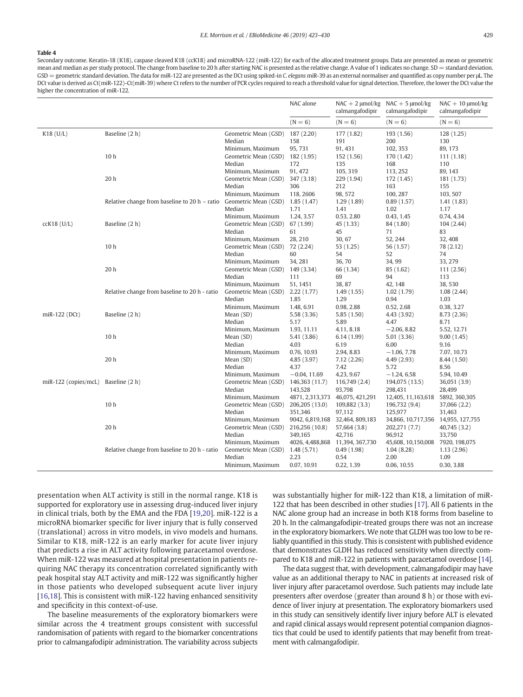#### E.E. Morrison et al. / EBioMedicine 46 (2019) 423–430 429

#### <span id="page-7-0"></span>Table 4

Secondary outcome. Keratin-18 (K18), caspase cleaved K18 (ccK18) and microRNA-122 (miR-122) for each of the allocated treatment groups. Data are presented as mean or geometric mean and median as per study protocol. The change from baseline to 20 h after starting NAC is presented as the relative change. A value of 1 indicates no change. SD = standard deviation. GSD = geometric standard deviation. The data for miR-122 are presented as the DCt using spiked-in C. elegans miR-39 as an external normaliser and quantified as copy number per μL. The DCt value is derived as Ct(miR-122)-Ct(miR-39) where Ct refers to the number of PCR cycles required to reach a threshold value for signal detection. Therefore, the lower the DCt value the higher the concentration of miR-122.

|                        |                                                 |                                                                        | NAC alone                                            | $NAC + 2 \mu mol/kg$<br>calmangafodipir             | $NAC + 5$ µmol/kg<br>calmangafodipir                    | $NAC + 10$ µmol/kg<br>calmangafodipir             |
|------------------------|-------------------------------------------------|------------------------------------------------------------------------|------------------------------------------------------|-----------------------------------------------------|---------------------------------------------------------|---------------------------------------------------|
|                        |                                                 |                                                                        | $(N = 6)$                                            | $(N = 6)$                                           | $(N = 6)$                                               | $(N = 6)$                                         |
| $K18$ (U/L)            | Baseline (2 h)                                  | Geometric Mean (GSD)<br>Median<br>Minimum, Maximum                     | 187 (2.20)<br>158<br>95, 731                         | 177 (1.82)<br>191<br>91, 431                        | 193 (1.56)<br>200<br>102, 353                           | 128(1.25)<br>130<br>89, 173                       |
|                        | 10 <sub>h</sub>                                 | Geometric Mean (GSD)<br>Median                                         | 182 (1.95)<br>172                                    | 152 (1.56)<br>135                                   | 170 (1.42)<br>168                                       | 111(1.18)<br>110                                  |
|                        | 20h                                             | Minimum, Maximum<br>Geometric Mean (GSD)<br>Median                     | 91, 472<br>347 (3.18)<br>306                         | 105, 319<br>229 (1.94)<br>212                       | 113, 252<br>172 (1.45)<br>163                           | 89, 143<br>181 (1.73)<br>155                      |
|                        | Relative change from baseline to $20 h -$ ratio | Minimum, Maximum<br>Geometric Mean (GSD)<br>Median                     | 118, 2606<br>1.85(1.47)<br>1.71                      | 98, 572<br>1.29(1.89)<br>1.41                       | 100, 287<br>0.89(1.57)<br>1.02                          | 103, 507<br>1.41(1.83)<br>1.17                    |
| $cck18$ (U/L)          | Baseline (2 h)                                  | Minimum, Maximum<br>Geometric Mean (GSD)<br>Median                     | 1.24, 3.57<br>67 (1.99)<br>61                        | 0.53, 2.80<br>45 (1.33)<br>45                       | 0.43, 1.45<br>84 (1.80)<br>71                           | 0.74, 4.34<br>104(2.44)<br>83                     |
|                        | 10 <sub>h</sub>                                 | Minimum, Maximum<br>Geometric Mean (GSD)<br>Median                     | 28, 210<br>72 (2.24)<br>60                           | 30,67<br>53 (1.25)<br>54                            | 52, 244<br>56 (1.57)<br>52                              | 32, 408<br>78 (2.12)<br>74                        |
|                        | 20h                                             | Minimum, Maximum<br>Geometric Mean (GSD)<br>Median                     | 34, 281<br>149 (3.34)<br>111                         | 36,70<br>66 (1.34)<br>69                            | 34, 99<br>85 (1.62)<br>94                               | 33, 279<br>111(2.56)<br>113                       |
|                        | Relative change from baseline to 20 h - ratio   | Minimum, Maximum<br>Geometric Mean (GSD)<br>Median                     | 51, 1451<br>2.22(1.77)<br>1.85                       | 38,87<br>1.49(1.55)<br>1.29                         | 42, 148<br>1.02(1.79)<br>0.94                           | 38,530<br>1.08(2.44)<br>1.03                      |
| miR-122 (DCt)          | Baseline (2 h)                                  | Minimum, Maximum<br>Mean (SD)<br>Median                                | 1.48, 6.91<br>5.58 (3.36)<br>5.17                    | 0.98, 2.88<br>5.85(1.50)<br>5.89                    | 0.52, 2.68<br>4.43 (3.92)<br>4.47                       | 0.38, 3.27<br>8.73 (2.36)<br>8.71                 |
|                        | 10 <sub>h</sub>                                 | Minimum, Maximum<br>Mean (SD)<br>Median                                | 1.93, 11.11<br>5.41 (3.86)<br>4.03                   | 4.11, 8.18<br>6.14(1.99)<br>6.19                    | $-2.06, 8.82$<br>5.01(3.36)<br>6.00                     | 5.52, 12.71<br>9.00(1.45)<br>9.16                 |
|                        | 20 h                                            | Minimum, Maximum<br>Mean (SD)<br>Median                                | 0.76, 10.93<br>4.85 (3.97)<br>4.37                   | 2.94, 8.83<br>7.12(2.26)<br>7.42                    | $-1.06, 7.78$<br>4.49 (2.93)<br>5.72                    | 7.07, 10.73<br>8.44 (1.50)<br>8.56                |
| $miR-122$ (copies/mcL) | Baseline (2 h)                                  | Minimum, Maximum<br>Geometric Mean (GSD)<br>Median                     | $-0.04, 11.69$<br>146,363 (11.7)<br>143,528          | 4.23, 9.67<br>116,749 (2.4)<br>93,798               | $-1.24, 6.58$<br>194,075 (13.5)<br>298,431              | 5.94, 10.49<br>36,051 (3.9)<br>28,499             |
|                        | 10 <sub>h</sub>                                 | Minimum, Maximum<br>Geometric Mean (GSD)<br>Median                     | 4871, 2,313,373<br>206,205 (13.0)<br>351,346         | 46,075, 421,291<br>109,882 (3.3)<br>97,112          | 12,405, 11,163,618<br>196,732 (9.4)<br>125,977          | 5892, 360, 305<br>37,066 (2.2)<br>31,463          |
|                        | 20 h                                            | Minimum, Maximum<br>Geometric Mean (GSD)<br>Median                     | 9042, 6,819,168<br>216,256 (10.8)<br>349,165         | 32,464, 809,183<br>57,664 (3.8)<br>42,716           | 34,866, 10,717,356<br>202,271 (7.7)<br>96,912           | 14,955, 127,755<br>40,745 (3.2)<br>33,750         |
|                        | Relative change from baseline to 20 h - ratio   | Minimum, Maximum<br>Geometric Mean (GSD)<br>Median<br>Minimum, Maximum | 4026, 4,488,868<br>1.48(5.71)<br>2.23<br>0.07, 10.91 | 11,394, 367,730<br>0.49(1.98)<br>0.54<br>0.22, 1.39 | 45,608, 10,150,008<br>1.04(8.28)<br>2.00<br>0.06, 10.55 | 7920, 198,075<br>1.13(2.96)<br>1.09<br>0.30, 3.88 |

presentation when ALT activity is still in the normal range. K18 is supported for exploratory use in assessing drug-induced liver injury in clinical trials, both by the EMA and the FDA [\[19,20\]](#page-8-0). miR-122 is a microRNA biomarker specific for liver injury that is fully conserved (translational) across in vitro models, in vivo models and humans. Similar to K18, miR-122 is an early marker for acute liver injury that predicts a rise in ALT activity following paracetamol overdose. When miR-122 was measured at hospital presentation in patients requiring NAC therapy its concentration correlated significantly with peak hospital stay ALT activity and miR-122 was significantly higher in those patients who developed subsequent acute liver injury [\[16,18\]](#page-8-0). This is consistent with miR-122 having enhanced sensitivity and specificity in this context-of-use.

The baseline measurements of the exploratory biomarkers were similar across the 4 treatment groups consistent with successful randomisation of patients with regard to the biomarker concentrations prior to calmangafodipir administration. The variability across subjects

was substantially higher for miR-122 than K18, a limitation of miR-122 that has been described in other studies [\[17\]](#page-8-0). All 6 patients in the NAC alone group had an increase in both K18 forms from baseline to 20 h. In the calmangafodipir-treated groups there was not an increase in the exploratory biomarkers. We note that GLDH was too low to be reliably quantified in this study. This is consistent with published evidence that demonstrates GLDH has reduced sensitivity when directly compared to K18 and miR-122 in patients with paracetamol overdose [\[14\]](#page-8-0).

The data suggest that, with development, calmangafodipir may have value as an additional therapy to NAC in patients at increased risk of liver injury after paracetamol overdose. Such patients may include late presenters after overdose (greater than around 8 h) or those with evidence of liver injury at presentation. The exploratory biomarkers used in this study can sensitively identify liver injury before ALT is elevated and rapid clinical assays would represent potential companion diagnostics that could be used to identify patients that may benefit from treatment with calmangafodipir.